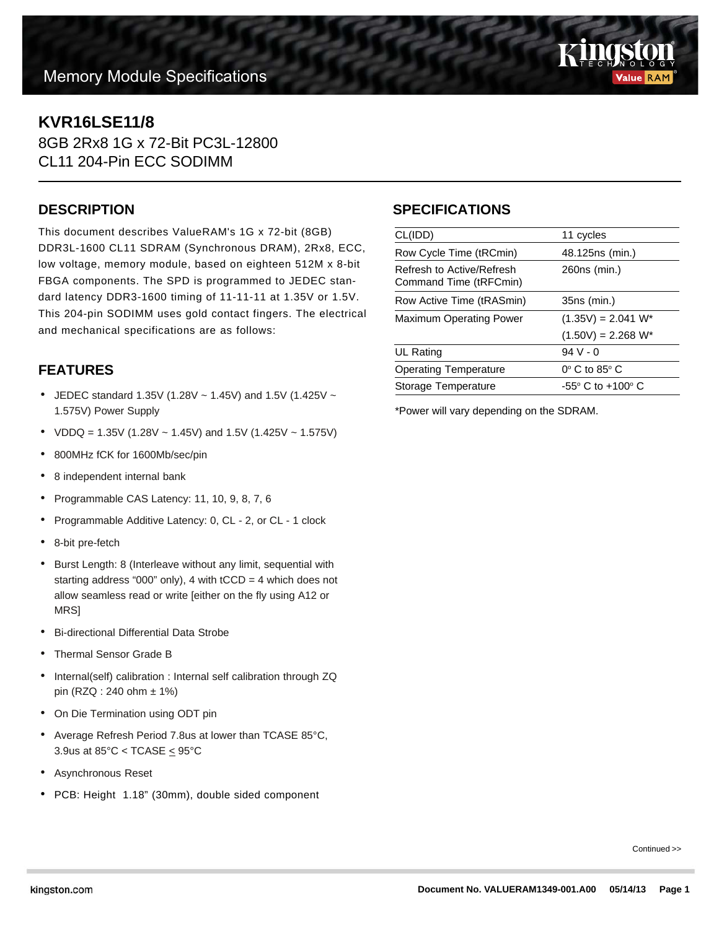# **Memory Module Specifications**



## **KVR16LSE11/8**

8GB 2Rx8 1G x 72-Bit PC3L-12800 CL11 204-Pin ECC SODIMM

#### **DESCRIPTION**

This document describes ValueRAM's 1G x 72-bit (8GB) DDR3L-1600 CL11 SDRAM (Synchronous DRAM), 2Rx8, ECC, low voltage, memory module, based on eighteen 512M x 8-bit FBGA components. The SPD is programmed to JEDEC standard latency DDR3-1600 timing of 11-11-11 at 1.35V or 1.5V. This 204-pin SODIMM uses gold contact fingers. The electrical and mechanical specifications are as follows:

## **FEATURES**

- JEDEC standard 1.35V (1.28V  $\sim$  1.45V) and 1.5V (1.425V  $\sim$ 1.575V) Power Supply
- VDDQ = 1.35V (1.28V ~ 1.45V) and 1.5V (1.425V ~ 1.575V)
- 800MHz fCK for 1600Mb/sec/pin
- 8 independent internal bank
- Programmable CAS Latency: 11, 10, 9, 8, 7, 6
- Programmable Additive Latency: 0, CL 2, or CL 1 clock
- 8-bit pre-fetch
- Burst Length: 8 (Interleave without any limit, sequential with starting address "000" only), 4 with  $tCCD = 4$  which does not allow seamless read or write [either on the fly using A12 or MRS]
- Bi-directional Differential Data Strobe
- Thermal Sensor Grade B
- Internal(self) calibration : Internal self calibration through ZQ pin (RZQ : 240 ohm ± 1%)
- On Die Termination using ODT pin
- Average Refresh Period 7.8us at lower than TCASE 85°C, 3.9us at  $85^{\circ}$ C < TCASE  $\leq$  95 $^{\circ}$ C
- Asynchronous Reset
- PCB: Height 1.18" (30mm), double sided component

### **SPECIFICATIONS**

| CL(IDD)                                             | 11 cycles                           |
|-----------------------------------------------------|-------------------------------------|
| Row Cycle Time (tRCmin)                             | 48.125ns (min.)                     |
| Refresh to Active/Refresh<br>Command Time (tRFCmin) | 260ns (min.)                        |
| Row Active Time (tRASmin)                           | 35ns (min.)                         |
| Maximum Operating Power                             | $(1.35V) = 2.041 W^*$               |
|                                                     | $(1.50V) = 2.268 W^*$               |
| UL Rating                                           | $94V - 0$                           |
| <b>Operating Temperature</b>                        | $0^\circ$ C to 85 $^\circ$ C        |
| Storage Temperature                                 | $-55^{\circ}$ C to $+100^{\circ}$ C |
|                                                     |                                     |

\*Power will vary depending on the SDRAM.